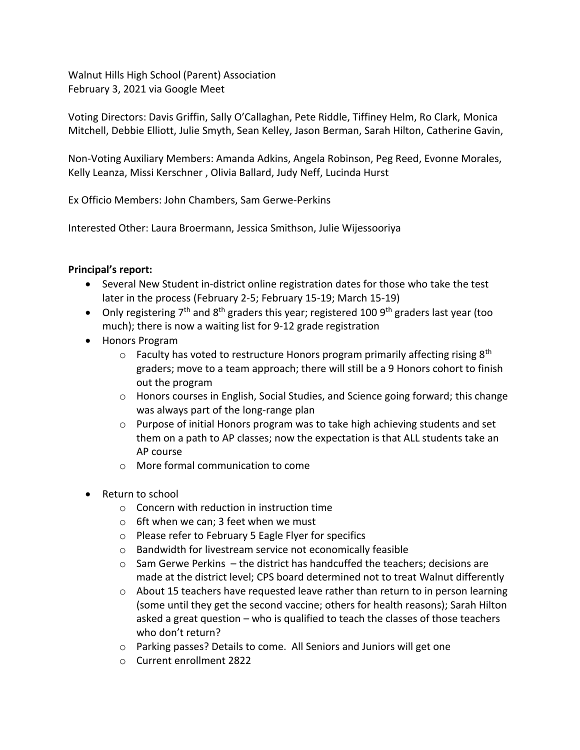Walnut Hills High School (Parent) Association February 3, 2021 via Google Meet

Voting Directors: Davis Griffin, Sally O'Callaghan, Pete Riddle, Tiffiney Helm, Ro Clark, Monica Mitchell, Debbie Elliott, Julie Smyth, Sean Kelley, Jason Berman, Sarah Hilton, Catherine Gavin,

Non-Voting Auxiliary Members: Amanda Adkins, Angela Robinson, Peg Reed, Evonne Morales, Kelly Leanza, Missi Kerschner , Olivia Ballard, Judy Neff, Lucinda Hurst

Ex Officio Members: John Chambers, Sam Gerwe-Perkins

Interested Other: Laura Broermann, Jessica Smithson, Julie Wijessooriya

### **Principal's report:**

- Several New Student in-district online registration dates for those who take the test later in the process (February 2-5; February 15-19; March 15-19)
- Only registering 7<sup>th</sup> and 8<sup>th</sup> graders this year; registered 100 9<sup>th</sup> graders last year (too much); there is now a waiting list for 9-12 grade registration
- Honors Program
	- $\circ$  Faculty has voted to restructure Honors program primarily affecting rising 8<sup>th</sup> graders; move to a team approach; there will still be a 9 Honors cohort to finish out the program
	- $\circ$  Honors courses in English, Social Studies, and Science going forward; this change was always part of the long-range plan
	- $\circ$  Purpose of initial Honors program was to take high achieving students and set them on a path to AP classes; now the expectation is that ALL students take an AP course
	- o More formal communication to come
- Return to school
	- o Concern with reduction in instruction time
	- $\circ$  6ft when we can: 3 feet when we must
	- o Please refer to February 5 Eagle Flyer for specifics
	- o Bandwidth for livestream service not economically feasible
	- $\circ$  Sam Gerwe Perkins the district has handcuffed the teachers; decisions are made at the district level; CPS board determined not to treat Walnut differently
	- $\circ$  About 15 teachers have requested leave rather than return to in person learning (some until they get the second vaccine; others for health reasons); Sarah Hilton asked a great question – who is qualified to teach the classes of those teachers who don't return?
	- o Parking passes? Details to come. All Seniors and Juniors will get one
	- o Current enrollment 2822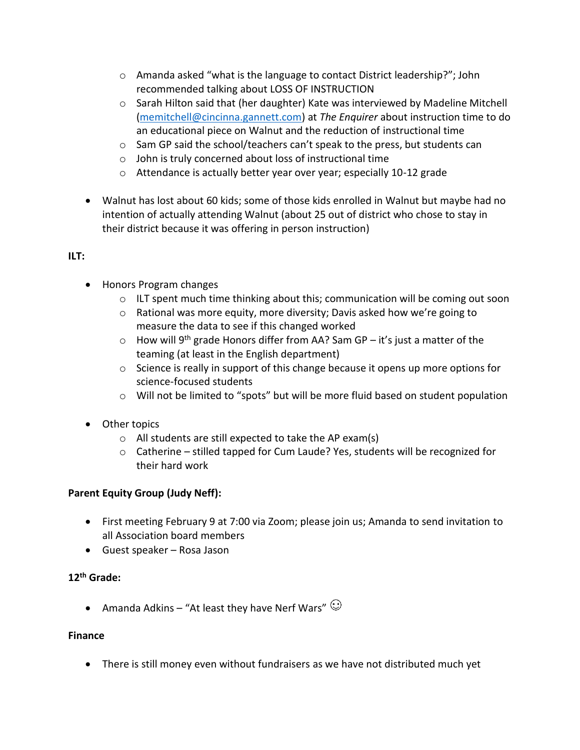- o Amanda asked "what is the language to contact District leadership?"; John recommended talking about LOSS OF INSTRUCTION
- $\circ$  Sarah Hilton said that (her daughter) Kate was interviewed by Madeline Mitchell [\(memitchell@cincinna.gannett.com\)](mailto:memitchell@cincinna.gannett.com) at *The Enquirer* about instruction time to do an educational piece on Walnut and the reduction of instructional time
- $\circ$  Sam GP said the school/teachers can't speak to the press, but students can
- o John is truly concerned about loss of instructional time
- o Attendance is actually better year over year; especially 10-12 grade
- Walnut has lost about 60 kids; some of those kids enrolled in Walnut but maybe had no intention of actually attending Walnut (about 25 out of district who chose to stay in their district because it was offering in person instruction)

## **ILT:**

- Honors Program changes
	- $\circ$  ILT spent much time thinking about this; communication will be coming out soon
	- o Rational was more equity, more diversity; Davis asked how we're going to measure the data to see if this changed worked
	- $\circ$  How will 9<sup>th</sup> grade Honors differ from AA? Sam GP it's just a matter of the teaming (at least in the English department)
	- $\circ$  Science is really in support of this change because it opens up more options for science-focused students
	- o Will not be limited to "spots" but will be more fluid based on student population
- Other topics
	- o All students are still expected to take the AP exam(s)
	- $\circ$  Catherine stilled tapped for Cum Laude? Yes, students will be recognized for their hard work

# **Parent Equity Group (Judy Neff):**

- First meeting February 9 at 7:00 via Zoom; please join us; Amanda to send invitation to all Association board members
- Guest speaker Rosa Jason

# **12th Grade:**

• Amanda Adkins – "At least they have Nerf Wars"  $\odot$ 

### **Finance**

There is still money even without fundraisers as we have not distributed much yet